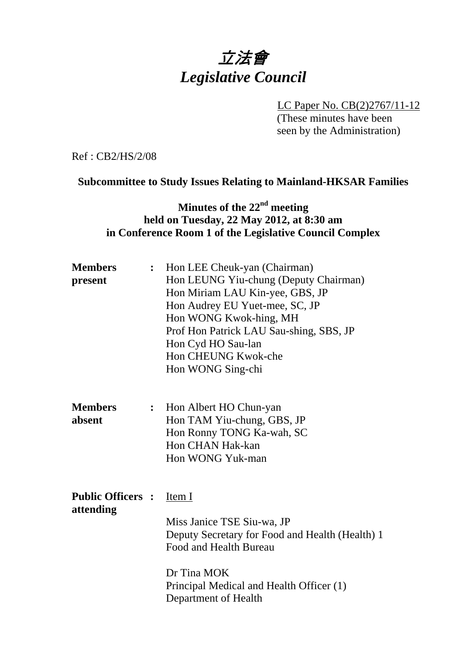# 立法會 *Legislative Council*

LC Paper No. CB(2)2767/11-12 (These minutes have been seen by the Administration)

Ref : CB2/HS/2/08

#### **Subcommittee to Study Issues Relating to Mainland-HKSAR Families**

## **Minutes of the 22nd meeting held on Tuesday, 22 May 2012, at 8:30 am in Conference Room 1 of the Legislative Council Complex**

| <b>Members</b><br>present             |                | Hon LEE Cheuk-yan (Chairman)<br>Hon LEUNG Yiu-chung (Deputy Chairman)<br>Hon Miriam LAU Kin-yee, GBS, JP<br>Hon Audrey EU Yuet-mee, SC, JP<br>Hon WONG Kwok-hing, MH<br>Prof Hon Patrick LAU Sau-shing, SBS, JP<br>Hon Cyd HO Sau-lan<br>Hon CHEUNG Kwok-che<br>Hon WONG Sing-chi |
|---------------------------------------|----------------|-----------------------------------------------------------------------------------------------------------------------------------------------------------------------------------------------------------------------------------------------------------------------------------|
| <b>Members</b><br>absent              | $\ddot{\cdot}$ | Hon Albert HO Chun-yan<br>Hon TAM Yiu-chung, GBS, JP<br>Hon Ronny TONG Ka-wah, SC<br>Hon CHAN Hak-kan<br>Hon WONG Yuk-man                                                                                                                                                         |
| <b>Public Officers :</b><br>attending |                | Item I<br>Miss Janice TSE Siu-wa, JP<br>Deputy Secretary for Food and Health (Health) 1<br>Food and Health Bureau<br>Dr Tina MOK<br>Principal Medical and Health Officer (1)<br>Department of Health                                                                              |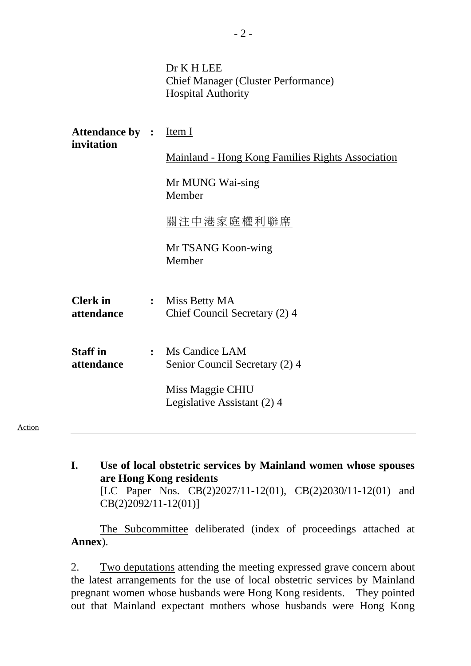| Dr K H LEE                                 |
|--------------------------------------------|
| <b>Chief Manager (Cluster Performance)</b> |
| <b>Hospital Authority</b>                  |

| <b>Attendance by : Item I</b><br>invitation |                |                                                         |
|---------------------------------------------|----------------|---------------------------------------------------------|
|                                             |                | <b>Mainland - Hong Kong Families Rights Association</b> |
|                                             |                | Mr MUNG Wai-sing<br>Member                              |
|                                             |                | 關注中港家庭權利聯席                                              |
|                                             |                | Mr TSANG Koon-wing<br>Member                            |
| <b>Clerk</b> in<br>attendance               | $\ddot{\cdot}$ | Miss Betty MA<br>Chief Council Secretary (2) 4          |
| <b>Staff</b> in<br>attendance               | $\ddot{\cdot}$ | Ms Candice LAM<br>Senior Council Secretary (2) 4        |
|                                             |                | Miss Maggie CHIU<br>Legislative Assistant (2) 4         |
|                                             |                |                                                         |

Action

**I. Use of local obstetric services by Mainland women whose spouses are Hong Kong residents**  [LC Paper Nos. CB(2)2027/11-12(01), CB(2)2030/11-12(01) and CB(2)2092/11-12(01)]

The Subcommittee deliberated (index of proceedings attached at **Annex**).

2. Two deputations attending the meeting expressed grave concern about the latest arrangements for the use of local obstetric services by Mainland pregnant women whose husbands were Hong Kong residents. They pointed out that Mainland expectant mothers whose husbands were Hong Kong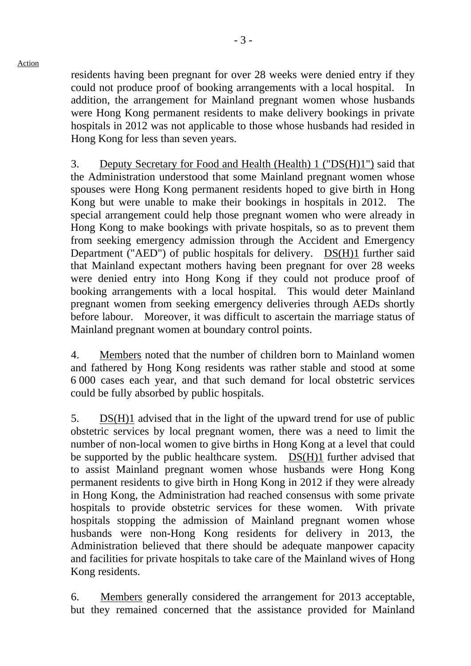Action

- 3 -

residents having been pregnant for over 28 weeks were denied entry if they could not produce proof of booking arrangements with a local hospital. In addition, the arrangement for Mainland pregnant women whose husbands were Hong Kong permanent residents to make delivery bookings in private hospitals in 2012 was not applicable to those whose husbands had resided in Hong Kong for less than seven years.

3. Deputy Secretary for Food and Health (Health) 1 ("DS(H)1") said that the Administration understood that some Mainland pregnant women whose spouses were Hong Kong permanent residents hoped to give birth in Hong Kong but were unable to make their bookings in hospitals in 2012. The special arrangement could help those pregnant women who were already in Hong Kong to make bookings with private hospitals, so as to prevent them from seeking emergency admission through the Accident and Emergency Department ("AED") of public hospitals for delivery. DS(H)1 further said that Mainland expectant mothers having been pregnant for over 28 weeks were denied entry into Hong Kong if they could not produce proof of booking arrangements with a local hospital. This would deter Mainland pregnant women from seeking emergency deliveries through AEDs shortly before labour. Moreover, it was difficult to ascertain the marriage status of Mainland pregnant women at boundary control points.

4. Members noted that the number of children born to Mainland women and fathered by Hong Kong residents was rather stable and stood at some 6,000 cases each year, and that such demand for local obstetric services could be fully absorbed by public hospitals.

5. DS(H)1 advised that in the light of the upward trend for use of public obstetric services by local pregnant women, there was a need to limit the number of non-local women to give births in Hong Kong at a level that could be supported by the public healthcare system. DS(H)1 further advised that to assist Mainland pregnant women whose husbands were Hong Kong permanent residents to give birth in Hong Kong in 2012 if they were already in Hong Kong, the Administration had reached consensus with some private hospitals to provide obstetric services for these women. With private hospitals stopping the admission of Mainland pregnant women whose husbands were non-Hong Kong residents for delivery in 2013, the Administration believed that there should be adequate manpower capacity and facilities for private hospitals to take care of the Mainland wives of Hong Kong residents.

6. Members generally considered the arrangement for 2013 acceptable, but they remained concerned that the assistance provided for Mainland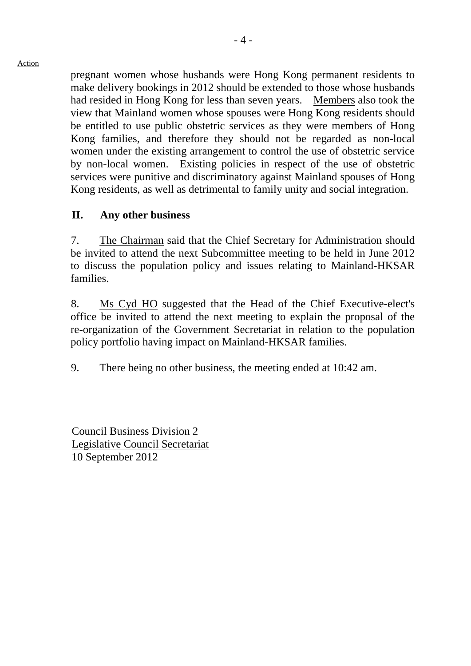pregnant women whose husbands were Hong Kong permanent residents to make delivery bookings in 2012 should be extended to those whose husbands had resided in Hong Kong for less than seven years. Members also took the view that Mainland women whose spouses were Hong Kong residents should be entitled to use public obstetric services as they were members of Hong Kong families, and therefore they should not be regarded as non-local women under the existing arrangement to control the use of obstetric service by non-local women. Existing policies in respect of the use of obstetric services were punitive and discriminatory against Mainland spouses of Hong Kong residents, as well as detrimental to family unity and social integration.

#### **II. Any other business**

7. The Chairman said that the Chief Secretary for Administration should be invited to attend the next Subcommittee meeting to be held in June 2012 to discuss the population policy and issues relating to Mainland-HKSAR families.

8. Ms Cyd HO suggested that the Head of the Chief Executive-elect's office be invited to attend the next meeting to explain the proposal of the re-organization of the Government Secretariat in relation to the population policy portfolio having impact on Mainland-HKSAR families.

9. There being no other business, the meeting ended at 10:42 am.

Council Business Division 2 Legislative Council Secretariat 10 September 2012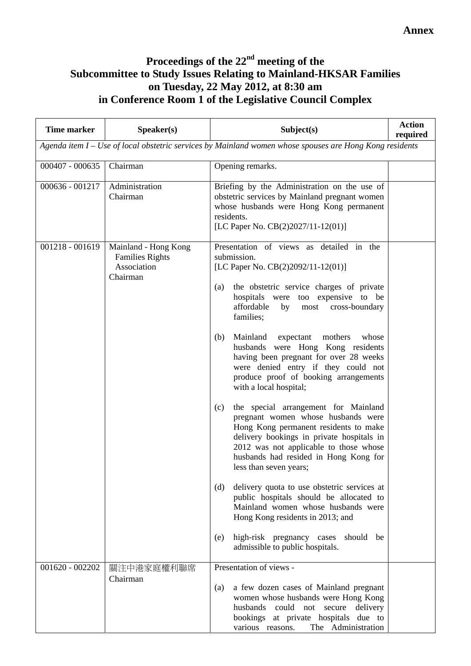## **Proceedings of the 22nd meeting of the Subcommittee to Study Issues Relating to Mainland-HKSAR Families on Tuesday, 22 May 2012, at 8:30 am in Conference Room 1 of the Legislative Council Complex**

| <b>Time marker</b> | Speaker(s)                                                                | Subject(s)                                                                                                                                                                                                                                                                           | <b>Action</b><br>required |
|--------------------|---------------------------------------------------------------------------|--------------------------------------------------------------------------------------------------------------------------------------------------------------------------------------------------------------------------------------------------------------------------------------|---------------------------|
|                    |                                                                           | Agenda item I – Use of local obstetric services by Mainland women whose spouses are Hong Kong residents                                                                                                                                                                              |                           |
| $000407 - 000635$  | Chairman                                                                  | Opening remarks.                                                                                                                                                                                                                                                                     |                           |
| 000636 - 001217    | Administration<br>Chairman                                                | Briefing by the Administration on the use of<br>obstetric services by Mainland pregnant women<br>whose husbands were Hong Kong permanent<br>residents.<br>[LC Paper No. CB(2)2027/11-12(01)]                                                                                         |                           |
| $001218 - 001619$  | Mainland - Hong Kong<br><b>Families Rights</b><br>Association<br>Chairman | Presentation of views as detailed in the<br>submission.<br>[LC Paper No. CB(2)2092/11-12(01)]<br>the obstetric service charges of private<br>(a)<br>hospitals were too expensive to be<br>affordable<br>cross-boundary<br>most<br>by                                                 |                           |
|                    |                                                                           | families;<br>Mainland expectant<br>mothers<br>whose<br>(b)<br>husbands were Hong Kong residents<br>having been pregnant for over 28 weeks<br>were denied entry if they could not<br>produce proof of booking arrangements<br>with a local hospital;                                  |                           |
|                    |                                                                           | the special arrangement for Mainland<br>(c)<br>pregnant women whose husbands were<br>Hong Kong permanent residents to make<br>delivery bookings in private hospitals in<br>2012 was not applicable to those whose<br>husbands had resided in Hong Kong for<br>less than seven years; |                           |
|                    |                                                                           | delivery quota to use obstetric services at<br>(d)<br>public hospitals should be allocated to<br>Mainland women whose husbands were<br>Hong Kong residents in 2013; and                                                                                                              |                           |
|                    |                                                                           | high-risk pregnancy cases<br>should be<br>(e)<br>admissible to public hospitals.                                                                                                                                                                                                     |                           |
| $001620 - 002202$  | 關注中港家庭權利聯席<br>Chairman                                                    | Presentation of views -<br>a few dozen cases of Mainland pregnant<br>(a)<br>women whose husbands were Hong Kong<br>husbands<br>could<br>not<br>secure<br>delivery<br>bookings at private hospitals due to<br>The Administration<br>various reasons.                                  |                           |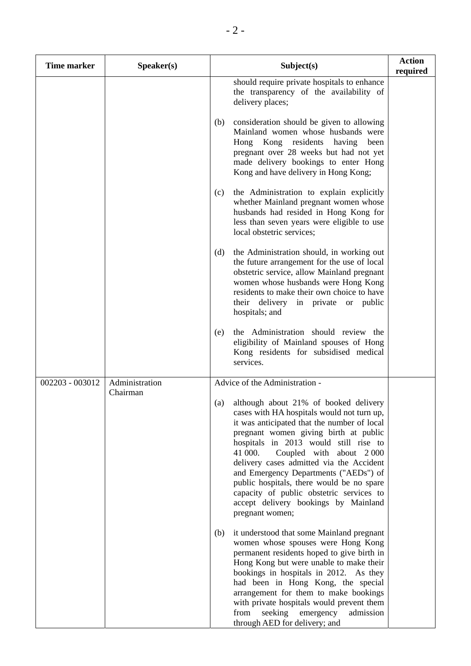| <b>Time marker</b> | Speaker(s)                 | Subject(s)                                                                                                                                                                                                                                                                                                                                                                                                                                                                                                 | <b>Action</b><br>required |
|--------------------|----------------------------|------------------------------------------------------------------------------------------------------------------------------------------------------------------------------------------------------------------------------------------------------------------------------------------------------------------------------------------------------------------------------------------------------------------------------------------------------------------------------------------------------------|---------------------------|
|                    |                            | should require private hospitals to enhance<br>the transparency of the availability of<br>delivery places;                                                                                                                                                                                                                                                                                                                                                                                                 |                           |
|                    |                            | consideration should be given to allowing<br>(b)<br>Mainland women whose husbands were<br>Hong Kong residents<br>having<br>been<br>pregnant over 28 weeks but had not yet<br>made delivery bookings to enter Hong<br>Kong and have delivery in Hong Kong;                                                                                                                                                                                                                                                  |                           |
|                    |                            | the Administration to explain explicitly<br>(c)<br>whether Mainland pregnant women whose<br>husbands had resided in Hong Kong for<br>less than seven years were eligible to use<br>local obstetric services;                                                                                                                                                                                                                                                                                               |                           |
|                    |                            | the Administration should, in working out<br>(d)<br>the future arrangement for the use of local<br>obstetric service, allow Mainland pregnant<br>women whose husbands were Hong Kong<br>residents to make their own choice to have<br>their delivery in private or public<br>hospitals; and                                                                                                                                                                                                                |                           |
|                    |                            | the Administration should review the<br>(e)<br>eligibility of Mainland spouses of Hong<br>Kong residents for subsidised medical<br>services.                                                                                                                                                                                                                                                                                                                                                               |                           |
| 002203 - 003012    | Administration<br>Chairman | Advice of the Administration -                                                                                                                                                                                                                                                                                                                                                                                                                                                                             |                           |
|                    |                            | although about 21% of booked delivery<br>(a)<br>cases with HA hospitals would not turn up,<br>it was anticipated that the number of local<br>pregnant women giving birth at public<br>hospitals in 2013 would still rise to<br>41 000.<br>Coupled with about 2000<br>delivery cases admitted via the Accident<br>and Emergency Departments ("AEDs") of<br>public hospitals, there would be no spare<br>capacity of public obstetric services to<br>accept delivery bookings by Mainland<br>pregnant women; |                           |
|                    |                            | it understood that some Mainland pregnant<br>(b)<br>women whose spouses were Hong Kong<br>permanent residents hoped to give birth in<br>Hong Kong but were unable to make their<br>bookings in hospitals in 2012. As they<br>had been in Hong Kong, the special<br>arrangement for them to make bookings<br>with private hospitals would prevent them<br>seeking emergency<br>from<br>admission<br>through AED for delivery; and                                                                           |                           |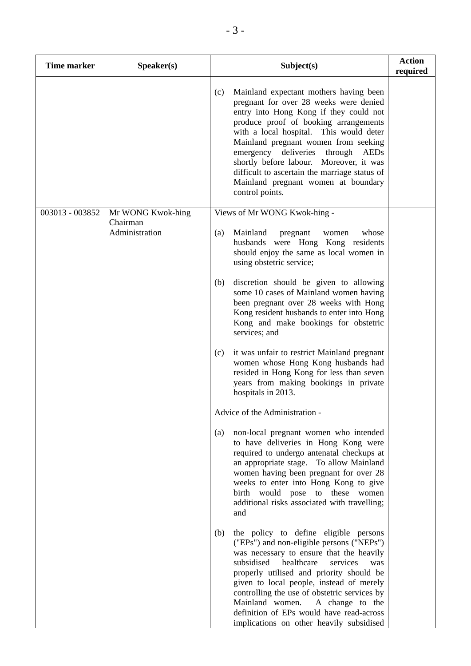| <b>Time marker</b> | Speaker(s)                 | Subject(s)                                                                                                                                                                                                                                                                                                                                                                                                                                                     | <b>Action</b><br>required |
|--------------------|----------------------------|----------------------------------------------------------------------------------------------------------------------------------------------------------------------------------------------------------------------------------------------------------------------------------------------------------------------------------------------------------------------------------------------------------------------------------------------------------------|---------------------------|
|                    |                            | Mainland expectant mothers having been<br>(c)<br>pregnant for over 28 weeks were denied<br>entry into Hong Kong if they could not<br>produce proof of booking arrangements<br>with a local hospital. This would deter<br>Mainland pregnant women from seeking<br>emergency deliveries<br>through<br>AEDs<br>shortly before labour. Moreover, it was<br>difficult to ascertain the marriage status of<br>Mainland pregnant women at boundary<br>control points. |                           |
| 003013 - 003852    | Mr WONG Kwok-hing          | Views of Mr WONG Kwok-hing -                                                                                                                                                                                                                                                                                                                                                                                                                                   |                           |
|                    | Chairman<br>Administration | Mainland<br>(a)<br>pregnant<br>whose<br>women<br>husbands were Hong Kong residents<br>should enjoy the same as local women in<br>using obstetric service;                                                                                                                                                                                                                                                                                                      |                           |
|                    |                            | discretion should be given to allowing<br>(b)<br>some 10 cases of Mainland women having<br>been pregnant over 28 weeks with Hong<br>Kong resident husbands to enter into Hong<br>Kong and make bookings for obstetric<br>services; and                                                                                                                                                                                                                         |                           |
|                    |                            | it was unfair to restrict Mainland pregnant<br>(c)<br>women whose Hong Kong husbands had<br>resided in Hong Kong for less than seven<br>years from making bookings in private<br>hospitals in 2013.                                                                                                                                                                                                                                                            |                           |
|                    |                            | Advice of the Administration -                                                                                                                                                                                                                                                                                                                                                                                                                                 |                           |
|                    |                            | non-local pregnant women who intended<br>(a)<br>to have deliveries in Hong Kong were<br>required to undergo antenatal checkups at<br>an appropriate stage. To allow Mainland<br>women having been pregnant for over 28<br>weeks to enter into Hong Kong to give<br>birth would pose<br>to<br>these<br>women<br>additional risks associated with travelling;<br>and                                                                                             |                           |
|                    |                            | the policy to define eligible persons<br>(b)<br>("EPs") and non-eligible persons ("NEPs")<br>was necessary to ensure that the heavily<br>subsidised<br>healthcare<br>services<br>was<br>properly utilised and priority should be<br>given to local people, instead of merely<br>controlling the use of obstetric services by<br>Mainland women.<br>A change to the<br>definition of EPs would have read-across<br>implications on other heavily subsidised     |                           |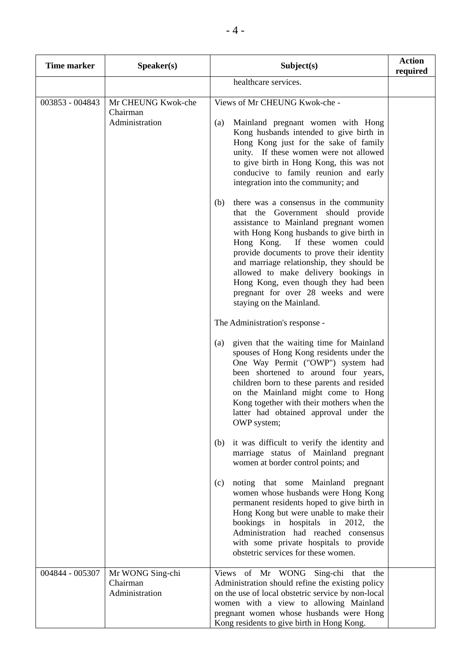| <b>Time marker</b> | Speaker(s)                                       | Subject(s)                                                                                                                                                                                                                                                                                                                                                                                                                                               | <b>Action</b> |
|--------------------|--------------------------------------------------|----------------------------------------------------------------------------------------------------------------------------------------------------------------------------------------------------------------------------------------------------------------------------------------------------------------------------------------------------------------------------------------------------------------------------------------------------------|---------------|
|                    |                                                  | healthcare services.                                                                                                                                                                                                                                                                                                                                                                                                                                     | required      |
| 003853 - 004843    | Mr CHEUNG Kwok-che<br>Chairman<br>Administration | Views of Mr CHEUNG Kwok-che -<br>Mainland pregnant women with Hong<br>(a)<br>Kong husbands intended to give birth in<br>Hong Kong just for the sake of family<br>unity. If these women were not allowed<br>to give birth in Hong Kong, this was not<br>conducive to family reunion and early<br>integration into the community; and                                                                                                                      |               |
|                    |                                                  | there was a consensus in the community<br>(b)<br>that the Government should provide<br>assistance to Mainland pregnant women<br>with Hong Kong husbands to give birth in<br>Hong Kong. If these women could<br>provide documents to prove their identity<br>and marriage relationship, they should be<br>allowed to make delivery bookings in<br>Hong Kong, even though they had been<br>pregnant for over 28 weeks and were<br>staying on the Mainland. |               |
|                    |                                                  | The Administration's response -                                                                                                                                                                                                                                                                                                                                                                                                                          |               |
|                    |                                                  | given that the waiting time for Mainland<br>(a)<br>spouses of Hong Kong residents under the<br>One Way Permit ("OWP") system had<br>been shortened to around four years,<br>children born to these parents and resided<br>on the Mainland might come to Hong<br>Kong together with their mothers when the<br>latter had obtained approval under the<br>OWP system;                                                                                       |               |
|                    |                                                  | it was difficult to verify the identity and<br>(b)<br>marriage status of Mainland pregnant<br>women at border control points; and                                                                                                                                                                                                                                                                                                                        |               |
|                    |                                                  | (c)<br>noting that some Mainland pregnant<br>women whose husbands were Hong Kong<br>permanent residents hoped to give birth in<br>Hong Kong but were unable to make their<br>bookings in hospitals in 2012, the<br>Administration had reached consensus<br>with some private hospitals to provide<br>obstetric services for these women.                                                                                                                 |               |
| 004844 - 005307    | Mr WONG Sing-chi<br>Chairman<br>Administration   | Views of Mr WONG Sing-chi that the<br>Administration should refine the existing policy<br>on the use of local obstetric service by non-local<br>women with a view to allowing Mainland<br>pregnant women whose husbands were Hong<br>Kong residents to give birth in Hong Kong.                                                                                                                                                                          |               |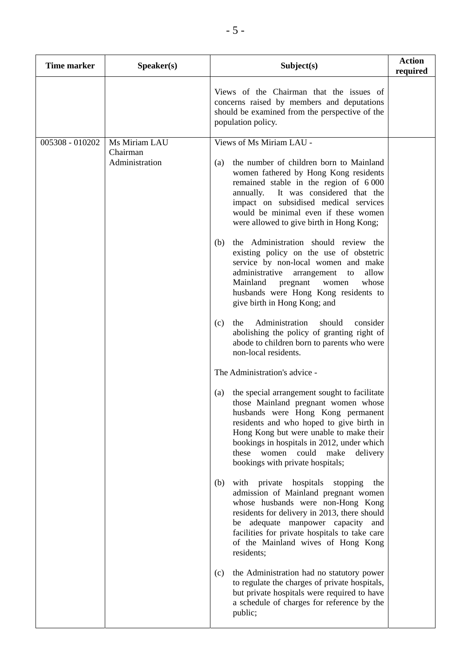| <b>Time marker</b> | Speaker(s)                 | Subject(s)                                                                                                                                                                                                                                                                                                                                           | <b>Action</b><br>required |
|--------------------|----------------------------|------------------------------------------------------------------------------------------------------------------------------------------------------------------------------------------------------------------------------------------------------------------------------------------------------------------------------------------------------|---------------------------|
|                    |                            | Views of the Chairman that the issues of<br>concerns raised by members and deputations<br>should be examined from the perspective of the<br>population policy.                                                                                                                                                                                       |                           |
| 005308 - 010202    | Ms Miriam LAU              | Views of Ms Miriam LAU -                                                                                                                                                                                                                                                                                                                             |                           |
|                    | Chairman<br>Administration | the number of children born to Mainland<br>(a)<br>women fathered by Hong Kong residents<br>remained stable in the region of 6000<br>It was considered that the<br>annually.<br>impact on subsidised medical services<br>would be minimal even if these women<br>were allowed to give birth in Hong Kong;                                             |                           |
|                    |                            | the Administration should review the<br>(b)<br>existing policy on the use of obstetric<br>service by non-local women and make<br>administrative<br>allow<br>arrangement<br>to<br>Mainland<br>whose<br>pregnant<br>women<br>husbands were Hong Kong residents to<br>give birth in Hong Kong; and                                                      |                           |
|                    |                            | Administration<br>should<br>consider<br>(c)<br>the<br>abolishing the policy of granting right of<br>abode to children born to parents who were<br>non-local residents.                                                                                                                                                                               |                           |
|                    |                            | The Administration's advice -                                                                                                                                                                                                                                                                                                                        |                           |
|                    |                            | the special arrangement sought to facilitate<br>(a)<br>those Mainland pregnant women whose<br>husbands were Hong Kong permanent<br>residents and who hoped to give birth in<br>Hong Kong but were unable to make their<br>bookings in hospitals in 2012, under which<br>these women<br>could<br>make<br>delivery<br>bookings with private hospitals; |                           |
|                    |                            | (b)<br>with private<br>hospitals<br>stopping<br>the<br>admission of Mainland pregnant women<br>whose husbands were non-Hong Kong<br>residents for delivery in 2013, there should<br>be adequate manpower capacity and<br>facilities for private hospitals to take care<br>of the Mainland wives of Hong Kong<br>residents;                           |                           |
|                    |                            | the Administration had no statutory power<br>(c)<br>to regulate the charges of private hospitals,<br>but private hospitals were required to have<br>a schedule of charges for reference by the<br>public;                                                                                                                                            |                           |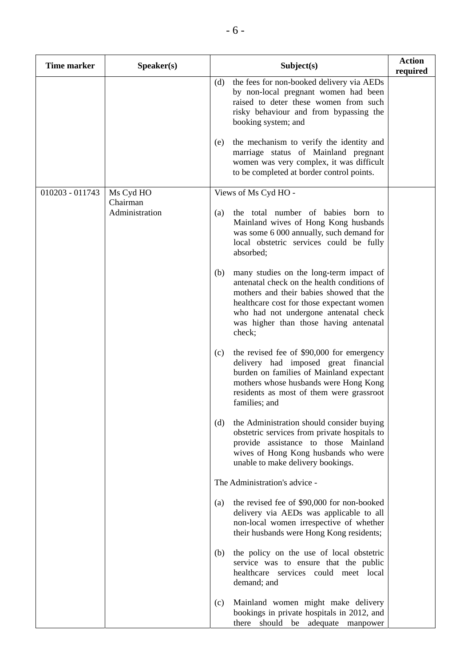| <b>Time marker</b> | Speaker(s)                 | Subject(s)                                                                                                                                                                                                                                                                          | <b>Action</b><br>required |
|--------------------|----------------------------|-------------------------------------------------------------------------------------------------------------------------------------------------------------------------------------------------------------------------------------------------------------------------------------|---------------------------|
|                    |                            | the fees for non-booked delivery via AEDs<br>(d)<br>by non-local pregnant women had been<br>raised to deter these women from such<br>risky behaviour and from bypassing the<br>booking system; and                                                                                  |                           |
|                    |                            | the mechanism to verify the identity and<br>(e)<br>marriage status of Mainland pregnant<br>women was very complex, it was difficult<br>to be completed at border control points.                                                                                                    |                           |
| 010203 - 011743    | Ms Cyd HO                  | Views of Ms Cyd HO -                                                                                                                                                                                                                                                                |                           |
|                    | Chairman<br>Administration | the total number of babies born<br>(a)<br>to<br>Mainland wives of Hong Kong husbands<br>was some 6 000 annually, such demand for<br>local obstetric services could be fully<br>absorbed;                                                                                            |                           |
|                    |                            | (b)<br>many studies on the long-term impact of<br>antenatal check on the health conditions of<br>mothers and their babies showed that the<br>healthcare cost for those expectant women<br>who had not undergone antenatal check<br>was higher than those having antenatal<br>check; |                           |
|                    |                            | the revised fee of \$90,000 for emergency<br>(c)<br>delivery had imposed great financial<br>burden on families of Mainland expectant<br>mothers whose husbands were Hong Kong<br>residents as most of them were grassroot<br>families; and                                          |                           |
|                    |                            | (d)<br>the Administration should consider buying<br>obstetric services from private hospitals to<br>provide assistance to those Mainland<br>wives of Hong Kong husbands who were<br>unable to make delivery bookings.                                                               |                           |
|                    |                            | The Administration's advice -                                                                                                                                                                                                                                                       |                           |
|                    |                            | the revised fee of \$90,000 for non-booked<br>(a)<br>delivery via AEDs was applicable to all<br>non-local women irrespective of whether<br>their husbands were Hong Kong residents;                                                                                                 |                           |
|                    |                            | the policy on the use of local obstetric<br>(b)<br>service was to ensure that the public<br>healthcare services could meet local<br>demand; and                                                                                                                                     |                           |
|                    |                            | Mainland women might make delivery<br>(c)<br>bookings in private hospitals in 2012, and<br>there should be adequate manpower                                                                                                                                                        |                           |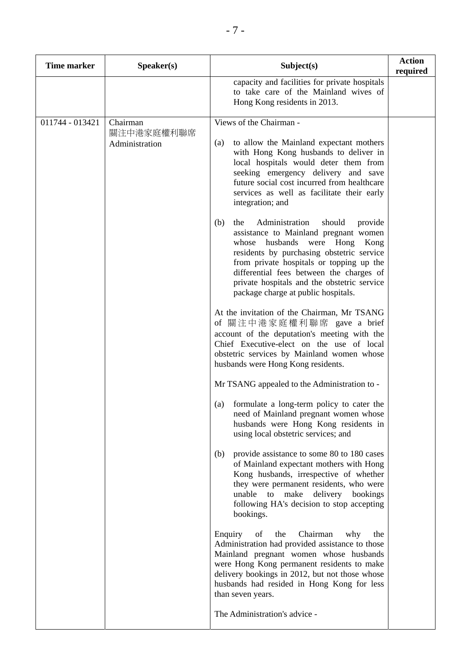| <b>Time marker</b> | Speaker(s)                   | Subject(s)                                                                                                                                                                                                                                                                                                                                                         | <b>Action</b><br>required |
|--------------------|------------------------------|--------------------------------------------------------------------------------------------------------------------------------------------------------------------------------------------------------------------------------------------------------------------------------------------------------------------------------------------------------------------|---------------------------|
|                    |                              | capacity and facilities for private hospitals<br>to take care of the Mainland wives of<br>Hong Kong residents in 2013.                                                                                                                                                                                                                                             |                           |
| 011744 - 013421    | Chairman                     | Views of the Chairman -                                                                                                                                                                                                                                                                                                                                            |                           |
|                    | 關注中港家庭權利聯席<br>Administration | (a)<br>to allow the Mainland expectant mothers<br>with Hong Kong husbands to deliver in<br>local hospitals would deter them from<br>seeking emergency delivery and save<br>future social cost incurred from healthcare<br>services as well as facilitate their early<br>integration; and                                                                           |                           |
|                    |                              | (b)<br>Administration<br>should<br>the<br>provide<br>assistance to Mainland pregnant women<br>were<br>husbands<br>Hong<br>Kong<br>whose<br>residents by purchasing obstetric service<br>from private hospitals or topping up the<br>differential fees between the charges of<br>private hospitals and the obstetric service<br>package charge at public hospitals. |                           |
|                    |                              | At the invitation of the Chairman, Mr TSANG<br>of 關注中港家庭權利聯席 gave a brief<br>account of the deputation's meeting with the<br>Chief Executive-elect on the use of local<br>obstetric services by Mainland women whose<br>husbands were Hong Kong residents.                                                                                                         |                           |
|                    |                              | Mr TSANG appealed to the Administration to -                                                                                                                                                                                                                                                                                                                       |                           |
|                    |                              | formulate a long-term policy to cater the<br>(a)<br>need of Mainland pregnant women whose<br>husbands were Hong Kong residents in<br>using local obstetric services; and                                                                                                                                                                                           |                           |
|                    |                              | provide assistance to some 80 to 180 cases<br>(b)<br>of Mainland expectant mothers with Hong<br>Kong husbands, irrespective of whether<br>they were permanent residents, who were<br>make<br>delivery bookings<br>unable<br>to<br>following HA's decision to stop accepting<br>bookings.                                                                           |                           |
|                    |                              | Enquiry<br>Chairman<br>of<br>the<br>why<br>the<br>Administration had provided assistance to those<br>Mainland pregnant women whose husbands<br>were Hong Kong permanent residents to make<br>delivery bookings in 2012, but not those whose<br>husbands had resided in Hong Kong for less<br>than seven years.<br>The Administration's advice -                    |                           |
|                    |                              |                                                                                                                                                                                                                                                                                                                                                                    |                           |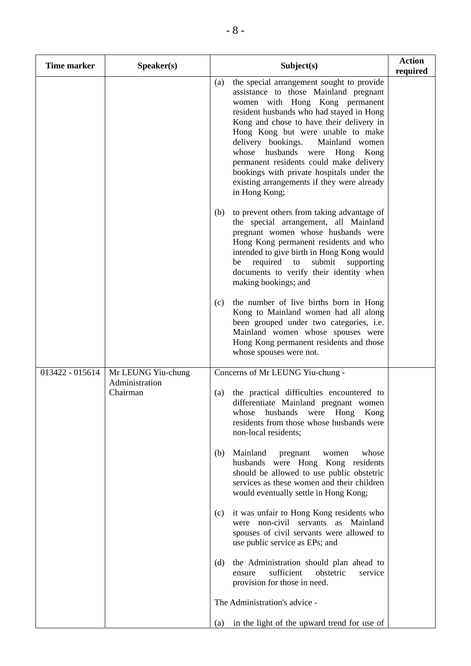| <b>Time marker</b> | Speaker(s)                 | Subject(s)                                                                                                                                                                                                                                                                                                                                                                                                                                                                                        | <b>Action</b><br>required |
|--------------------|----------------------------|---------------------------------------------------------------------------------------------------------------------------------------------------------------------------------------------------------------------------------------------------------------------------------------------------------------------------------------------------------------------------------------------------------------------------------------------------------------------------------------------------|---------------------------|
|                    |                            | the special arrangement sought to provide<br>(a)<br>assistance to those Mainland pregnant<br>women with Hong Kong permanent<br>resident husbands who had stayed in Hong<br>Kong and chose to have their delivery in<br>Hong Kong but were unable to make<br>delivery bookings.<br>Mainland women<br>whose husbands<br>Hong<br>Kong<br>were<br>permanent residents could make delivery<br>bookings with private hospitals under the<br>existing arrangements if they were already<br>in Hong Kong; |                           |
|                    |                            | to prevent others from taking advantage of<br>(b)<br>the special arrangement, all Mainland<br>pregnant women whose husbands were<br>Hong Kong permanent residents and who<br>intended to give birth in Hong Kong would<br>required<br>submit<br>supporting<br>be<br>to<br>documents to verify their identity when<br>making bookings; and                                                                                                                                                         |                           |
|                    |                            | the number of live births born in Hong<br>(c)<br>Kong to Mainland women had all along<br>been grouped under two categories, i.e.<br>Mainland women whose spouses were<br>Hong Kong permanent residents and those<br>whose spouses were not.                                                                                                                                                                                                                                                       |                           |
| 013422 - 015614    | Mr LEUNG Yiu-chung         | Concerns of Mr LEUNG Yiu-chung -                                                                                                                                                                                                                                                                                                                                                                                                                                                                  |                           |
|                    | Administration<br>Chairman | the practical difficulties encountered to<br>(a)<br>differentiate Mainland pregnant women<br>husbands<br>were Hong<br>Kong<br>whose<br>residents from those whose husbands were<br>non-local residents;                                                                                                                                                                                                                                                                                           |                           |
|                    |                            | Mainland<br>(b)<br>whose<br>pregnant<br>women<br>husbands were Hong Kong residents<br>should be allowed to use public obstetric<br>services as these women and their children<br>would eventually settle in Hong Kong;                                                                                                                                                                                                                                                                            |                           |
|                    |                            | it was unfair to Hong Kong residents who<br>(c)<br>Mainland<br>non-civil servants as<br>were<br>spouses of civil servants were allowed to<br>use public service as EPs; and                                                                                                                                                                                                                                                                                                                       |                           |
|                    |                            | the Administration should plan ahead to<br>(d)<br>sufficient<br>obstetric<br>service<br>ensure<br>provision for those in need.                                                                                                                                                                                                                                                                                                                                                                    |                           |
|                    |                            | The Administration's advice -                                                                                                                                                                                                                                                                                                                                                                                                                                                                     |                           |
|                    |                            | in the light of the upward trend for use of<br>(a)                                                                                                                                                                                                                                                                                                                                                                                                                                                |                           |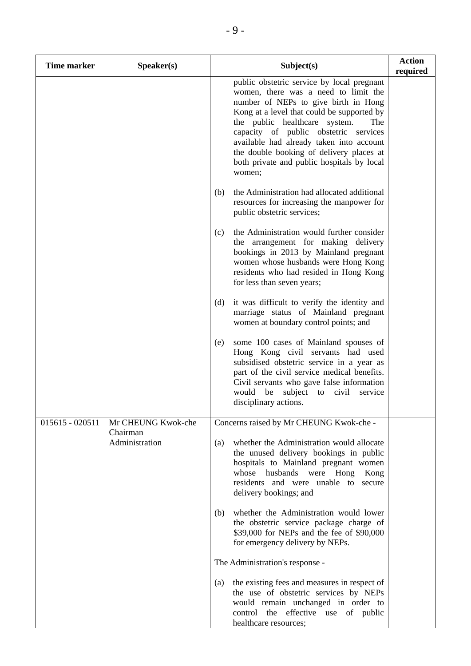| <b>Time marker</b> | Speaker(s)                 | Subject(s)                                                                                                                                                                                                                                                                                                                                                                                                | <b>Action</b><br>required |
|--------------------|----------------------------|-----------------------------------------------------------------------------------------------------------------------------------------------------------------------------------------------------------------------------------------------------------------------------------------------------------------------------------------------------------------------------------------------------------|---------------------------|
|                    |                            | public obstetric service by local pregnant<br>women, there was a need to limit the<br>number of NEPs to give birth in Hong<br>Kong at a level that could be supported by<br>the public healthcare system.<br>The<br>capacity of public obstetric services<br>available had already taken into account<br>the double booking of delivery places at<br>both private and public hospitals by local<br>women; |                           |
|                    |                            | the Administration had allocated additional<br>(b)<br>resources for increasing the manpower for<br>public obstetric services;                                                                                                                                                                                                                                                                             |                           |
|                    |                            | the Administration would further consider<br>(c)<br>the arrangement for making delivery<br>bookings in 2013 by Mainland pregnant<br>women whose husbands were Hong Kong<br>residents who had resided in Hong Kong<br>for less than seven years;                                                                                                                                                           |                           |
|                    |                            | it was difficult to verify the identity and<br>(d)<br>marriage status of Mainland pregnant<br>women at boundary control points; and                                                                                                                                                                                                                                                                       |                           |
|                    |                            | some 100 cases of Mainland spouses of<br>(e)<br>Hong Kong civil servants had used<br>subsidised obstetric service in a year as<br>part of the civil service medical benefits.<br>Civil servants who gave false information<br>would be<br>subject<br>civil<br>to<br>service<br>disciplinary actions.                                                                                                      |                           |
| $015615 - 020511$  | Mr CHEUNG Kwok-che         | Concerns raised by Mr CHEUNG Kwok-che -                                                                                                                                                                                                                                                                                                                                                                   |                           |
|                    | Chairman<br>Administration | whether the Administration would allocate<br>(a)<br>the unused delivery bookings in public<br>hospitals to Mainland pregnant women<br>whose husbands were Hong Kong<br>residents and were unable to secure<br>delivery bookings; and                                                                                                                                                                      |                           |
|                    |                            | whether the Administration would lower<br>(b)<br>the obstetric service package charge of<br>\$39,000 for NEPs and the fee of \$90,000<br>for emergency delivery by NEPs.                                                                                                                                                                                                                                  |                           |
|                    |                            | The Administration's response -                                                                                                                                                                                                                                                                                                                                                                           |                           |
|                    |                            | the existing fees and measures in respect of<br>(a)<br>the use of obstetric services by NEPs<br>would remain unchanged in order to<br>control the effective use of public<br>healthcare resources;                                                                                                                                                                                                        |                           |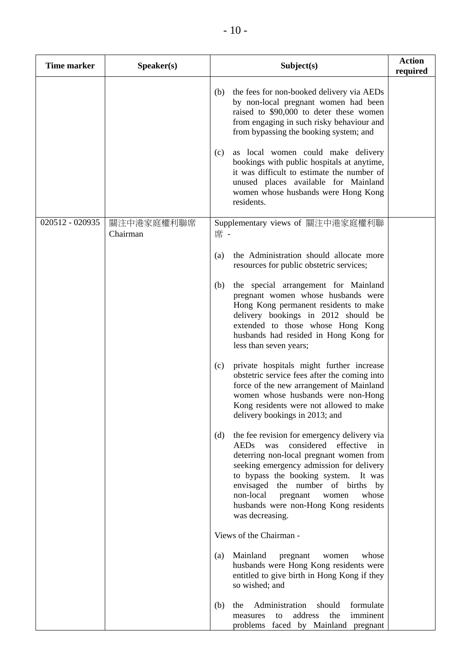| <b>Time marker</b> | Speaker(s)             |     | Subject(s)                                                                                                                                                                                                                                                                                                                                                                          | <b>Action</b><br>required |
|--------------------|------------------------|-----|-------------------------------------------------------------------------------------------------------------------------------------------------------------------------------------------------------------------------------------------------------------------------------------------------------------------------------------------------------------------------------------|---------------------------|
|                    |                        | (b) | the fees for non-booked delivery via AEDs<br>by non-local pregnant women had been<br>raised to \$90,000 to deter these women<br>from engaging in such risky behaviour and<br>from bypassing the booking system; and                                                                                                                                                                 |                           |
|                    |                        | (c) | as local women could make delivery<br>bookings with public hospitals at anytime,<br>it was difficult to estimate the number of<br>unused places available for Mainland<br>women whose husbands were Hong Kong<br>residents.                                                                                                                                                         |                           |
| 020512 - 020935    | 關注中港家庭權利聯席<br>Chairman | 席 - | Supplementary views of 關注中港家庭權利聯                                                                                                                                                                                                                                                                                                                                                    |                           |
|                    |                        | (a) | the Administration should allocate more<br>resources for public obstetric services;                                                                                                                                                                                                                                                                                                 |                           |
|                    |                        | (b) | the special arrangement for Mainland<br>pregnant women whose husbands were<br>Hong Kong permanent residents to make<br>delivery bookings in 2012 should be<br>extended to those whose Hong Kong<br>husbands had resided in Hong Kong for<br>less than seven years;                                                                                                                  |                           |
|                    |                        | (c) | private hospitals might further increase<br>obstetric service fees after the coming into<br>force of the new arrangement of Mainland<br>women whose husbands were non-Hong<br>Kong residents were not allowed to make<br>delivery bookings in 2013; and                                                                                                                             |                           |
|                    |                        | (d) | the fee revision for emergency delivery via<br><b>AEDs</b><br>was<br>considered<br>effective<br>in<br>deterring non-local pregnant women from<br>seeking emergency admission for delivery<br>to bypass the booking system.<br>It was<br>envisaged the number of births<br>by<br>non-local<br>pregnant<br>whose<br>women<br>husbands were non-Hong Kong residents<br>was decreasing. |                           |
|                    |                        |     | Views of the Chairman -                                                                                                                                                                                                                                                                                                                                                             |                           |
|                    |                        | (a) | Mainland<br>pregnant<br>whose<br>women<br>husbands were Hong Kong residents were<br>entitled to give birth in Hong Kong if they<br>so wished; and                                                                                                                                                                                                                                   |                           |
|                    |                        | (b) | Administration<br>should<br>formulate<br>the<br>address<br>the<br>imminent<br>to<br>measures<br>problems faced by Mainland pregnant                                                                                                                                                                                                                                                 |                           |